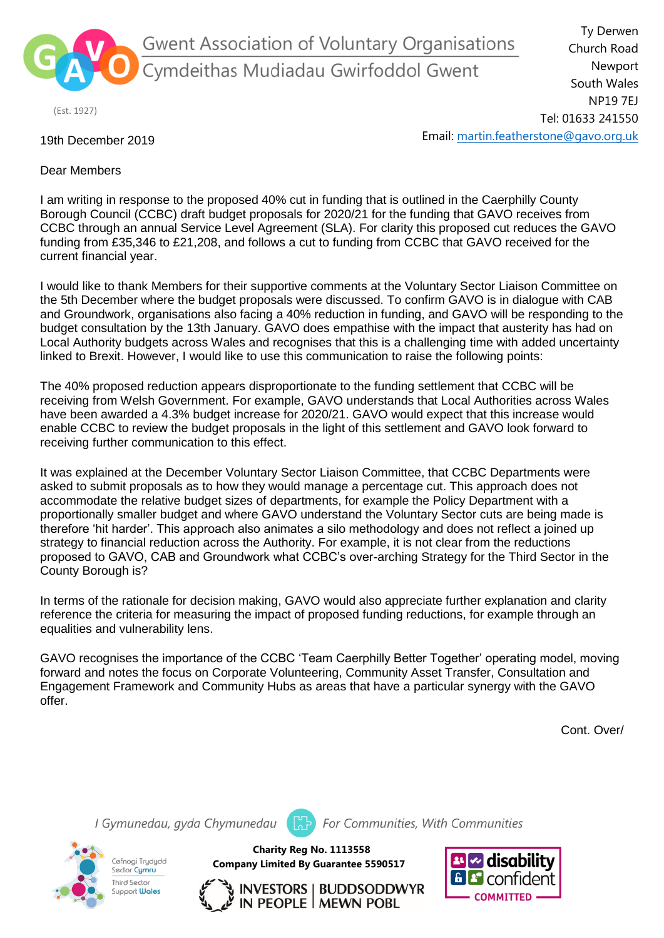

Gwent Association of Voluntary Organisations .<br>Cymdeithas Mudiadau Gwirfoddol Gwent

(Est. 1927)

Ty Derwen Church Road Newport South Wales NP19 7EJ Tel: 01633 241550 Email: [martin.featherstone@gavo.org.uk](mailto:martin.featherstone@gavo.org.uk)

## 19th December 2019

Dear Members

I am writing in response to the proposed 40% cut in funding that is outlined in the Caerphilly County Borough Council (CCBC) draft budget proposals for 2020/21 for the funding that GAVO receives from CCBC through an annual Service Level Agreement (SLA). For clarity this proposed cut reduces the GAVO funding from £35,346 to £21,208, and follows a cut to funding from CCBC that GAVO received for the current financial year.

I would like to thank Members for their supportive comments at the Voluntary Sector Liaison Committee on the 5th December where the budget proposals were discussed. To confirm GAVO is in dialogue with CAB and Groundwork, organisations also facing a 40% reduction in funding, and GAVO will be responding to the budget consultation by the 13th January. GAVO does empathise with the impact that austerity has had on Local Authority budgets across Wales and recognises that this is a challenging time with added uncertainty linked to Brexit. However, I would like to use this communication to raise the following points:

The 40% proposed reduction appears disproportionate to the funding settlement that CCBC will be receiving from Welsh Government. For example, GAVO understands that Local Authorities across Wales have been awarded a 4.3% budget increase for 2020/21. GAVO would expect that this increase would enable CCBC to review the budget proposals in the light of this settlement and GAVO look forward to receiving further communication to this effect.

It was explained at the December Voluntary Sector Liaison Committee, that CCBC Departments were asked to submit proposals as to how they would manage a percentage cut. This approach does not accommodate the relative budget sizes of departments, for example the Policy Department with a proportionally smaller budget and where GAVO understand the Voluntary Sector cuts are being made is therefore 'hit harder'. This approach also animates a silo methodology and does not reflect a joined up strategy to financial reduction across the Authority. For example, it is not clear from the reductions proposed to GAVO, CAB and Groundwork what CCBC's over-arching Strategy for the Third Sector in the County Borough is?

In terms of the rationale for decision making, GAVO would also appreciate further explanation and clarity reference the criteria for measuring the impact of proposed funding reductions, for example through an equalities and vulnerability lens.

GAVO recognises the importance of the CCBC 'Team Caerphilly Better Together' operating model, moving forward and notes the focus on Corporate Volunteering, Community Asset Transfer, Consultation and Engagement Framework and Community Hubs as areas that have a particular synergy with the GAVO offer.

Cont. Over/

I Gymunedau, gyda Chymunedau



For Communities, With Communities

**Charity Reg No. 1113558 Company Limited By Guarantee 5590517**



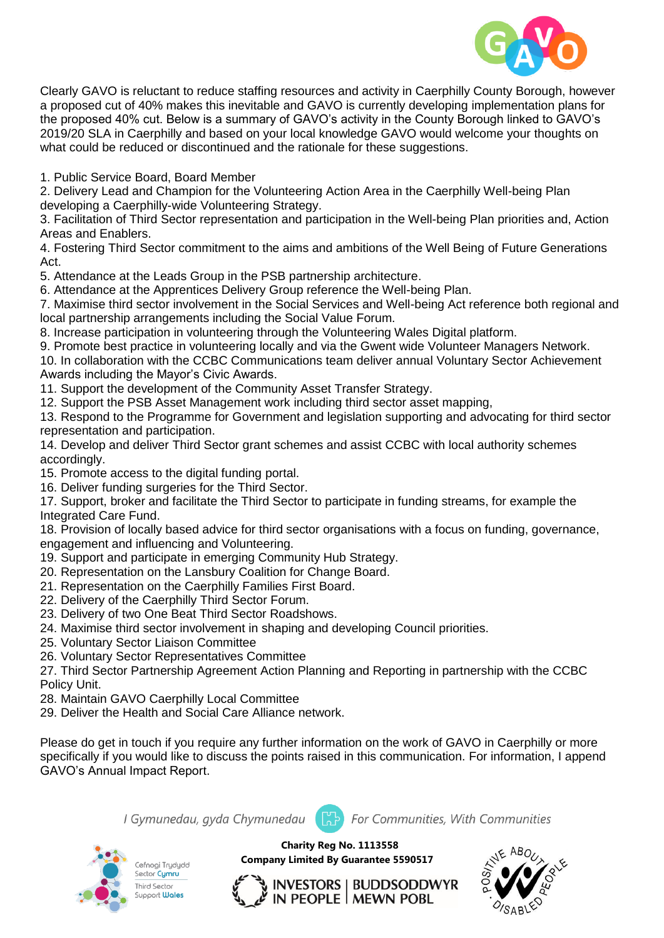

Clearly GAVO is reluctant to reduce staffing resources and activity in Caerphilly County Borough, however a proposed cut of 40% makes this inevitable and GAVO is currently developing implementation plans for the proposed 40% cut. Below is a summary of GAVO's activity in the County Borough linked to GAVO's 2019/20 SLA in Caerphilly and based on your local knowledge GAVO would welcome your thoughts on what could be reduced or discontinued and the rationale for these suggestions.

1. Public Service Board, Board Member

2. Delivery Lead and Champion for the Volunteering Action Area in the Caerphilly Well-being Plan developing a Caerphilly-wide Volunteering Strategy.

3. Facilitation of Third Sector representation and participation in the Well-being Plan priorities and, Action Areas and Enablers.

4. Fostering Third Sector commitment to the aims and ambitions of the Well Being of Future Generations Act.

5. Attendance at the Leads Group in the PSB partnership architecture.

6. Attendance at the Apprentices Delivery Group reference the Well-being Plan.

7. Maximise third sector involvement in the Social Services and Well-being Act reference both regional and local partnership arrangements including the Social Value Forum.

8. Increase participation in volunteering through the Volunteering Wales Digital platform.

9. Promote best practice in volunteering locally and via the Gwent wide Volunteer Managers Network.

10. In collaboration with the CCBC Communications team deliver annual Voluntary Sector Achievement Awards including the Mayor's Civic Awards.

11. Support the development of the Community Asset Transfer Strategy.

12. Support the PSB Asset Management work including third sector asset mapping,

13. Respond to the Programme for Government and legislation supporting and advocating for third sector representation and participation.

14. Develop and deliver Third Sector grant schemes and assist CCBC with local authority schemes accordingly.

15. Promote access to the digital funding portal.

16. Deliver funding surgeries for the Third Sector.

17. Support, broker and facilitate the Third Sector to participate in funding streams, for example the Integrated Care Fund.

18. Provision of locally based advice for third sector organisations with a focus on funding, governance, engagement and influencing and Volunteering.

- 19. Support and participate in emerging Community Hub Strategy.
- 20. Representation on the Lansbury Coalition for Change Board.
- 21. Representation on the Caerphilly Families First Board.
- 22. Delivery of the Caerphilly Third Sector Forum.
- 23. Delivery of two One Beat Third Sector Roadshows.
- 24. Maximise third sector involvement in shaping and developing Council priorities.
- 25. Voluntary Sector Liaison Committee
- 26. Voluntary Sector Representatives Committee
- 27. Third Sector Partnership Agreement Action Planning and Reporting in partnership with the CCBC Policy Unit.
- 28. Maintain GAVO Caerphilly Local Committee
- 29. Deliver the Health and Social Care Alliance network.

Please do get in touch if you require any further information on the work of GAVO in Caerphilly or more specifically if you would like to discuss the points raised in this communication. For information, I append GAVO's Annual Impact Report.





**Charity Reg No. 1113558 Company Limited By Guarantee 5590517**